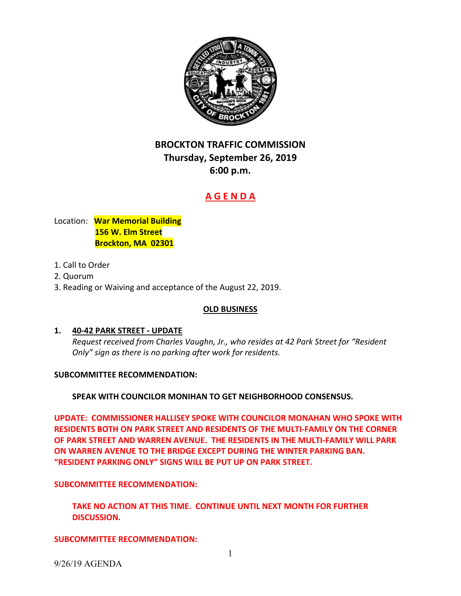

# **BROCKTON TRAFFIC COMMISSION Thursday, September 26, 2019 6:00 p.m.**

# **A G E N D A**

# Location: **War Memorial Building 156 W. Elm Street Brockton, MA 02301**

- 1. Call to Order
- 2. Quorum
- 3. Reading or Waiving and acceptance of the August 22, 2019.

### **OLD BUSINESS**

# **1. 40‐42 PARK STREET ‐ UPDATE**

 *Request received from Charles Vaughn, Jr., who resides at 42 Park Street for "Resident Only" sign as there is no parking after work for residents.*

### **SUBCOMMITTEE RECOMMENDATION:**

# **SPEAK WITH COUNCILOR MONIHAN TO GET NEIGHBORHOOD CONSENSUS.**

 **UPDATE: COMMISSIONER HALLISEY SPOKE WITH COUNCILOR MONAHAN WHO SPOKE WITH RESIDENTS BOTH ON PARK STREET AND RESIDENTS OF THE MULTI‐FAMILY ON THE CORNER** OF PARK STREET AND WARREN AVENUE. THE RESIDENTS IN THE MULTI-FAMILY WILL PARK  **ON WARREN AVENUE TO THE BRIDGE EXCEPT DURING THE WINTER PARKING BAN. "RESIDENT PARKING ONLY" SIGNS WILL BE PUT UP ON PARK STREET.**

# **SUBCOMMITTEE RECOMMENDATION:**

 **TAKE NO ACTION AT THIS TIME. CONTINUE UNTIL NEXT MONTH FOR FURTHER DISCUSSION.**

**SUBCOMMITTEE RECOMMENDATION:**

9/26/19 AGENDA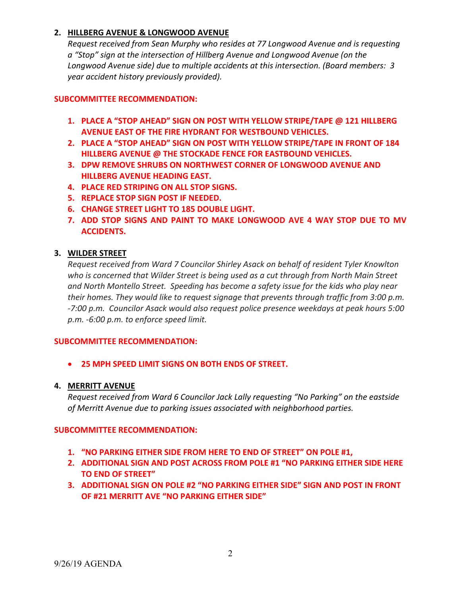# **2. HILLBERG AVENUE & LONGWOOD AVENUE**

 *Request received from Sean Murphy who resides at 77 Longwood Avenue and is requesting a "Stop" sign at the intersection of Hillberg Avenue and Longwood Avenue (on the Longwood Avenue side) due to multiple accidents at this intersection. (Board members: 3 year accident history previously provided).*

# **SUBCOMMITTEE RECOMMENDATION:**

- **1. PLACE A "STOP AHEAD" SIGN ON POST WITH YELLOW STRIPE/TAPE @ 121 HILLBERG AVENUE EAST OF THE FIRE HYDRANT FOR WESTBOUND VEHICLES.**
- **2. PLACE A "STOP AHEAD" SIGN ON POST WITH YELLOW STRIPE/TAPE IN FRONT OF 184 HILLBERG AVENUE @ THE STOCKADE FENCE FOR EASTBOUND VEHICLES.**
- **3. DPW REMOVE SHRUBS ON NORTHWEST CORNER OF LONGWOOD AVENUE AND HILLBERG AVENUE HEADING EAST.**
- **4. PLACE RED STRIPING ON ALL STOP SIGNS.**
- **5. REPLACE STOP SIGN POST IF NEEDED.**
- **6. CHANGE STREET LIGHT TO 185 DOUBLE LIGHT.**
- **7. ADD STOP SIGNS AND PAINT TO MAKE LONGWOOD AVE 4 WAY STOP DUE TO MV ACCIDENTS.**

# **3. WILDER STREET**

 *Request received from Ward 7 Councilor Shirley Asack on behalf of resident Tyler Knowlton* who is concerned that Wilder Street is being used as a cut through from North Main Street and North Montello Street. Speeding has become a safety issue for the kids who play near their homes. They would like to request signage that prevents through traffic from 3:00 p.m. -7:00 p.m. Councilor Asack would also request police presence weekdays at peak hours 5:00  *p.m. ‐6:00 p.m. to enforce speed limit.*

# **SUBCOMMITTEE RECOMMENDATION:**

 **25 MPH SPEED LIMIT SIGNS ON BOTH ENDS OF STREET.**

# **4. MERRITT AVENUE**

 *Request received from Ward 6 Councilor Jack Lally requesting "No Parking" on the eastside of Merritt Avenue due to parking issues associated with neighborhood parties.*

# **SUBCOMMITTEE RECOMMENDATION:**

- **1. "NO PARKING EITHER SIDE FROM HERE TO END OF STREET" ON POLE #1,**
- **2. ADDITIONAL SIGN AND POST ACROSS FROM POLE #1 "NO PARKING EITHER SIDE HERE TO END OF STREET"**
- **3. ADDITIONAL SIGN ON POLE #2 "NO PARKING EITHER SIDE" SIGN AND POST IN FRONT OF #21 MERRITT AVE "NO PARKING EITHER SIDE"**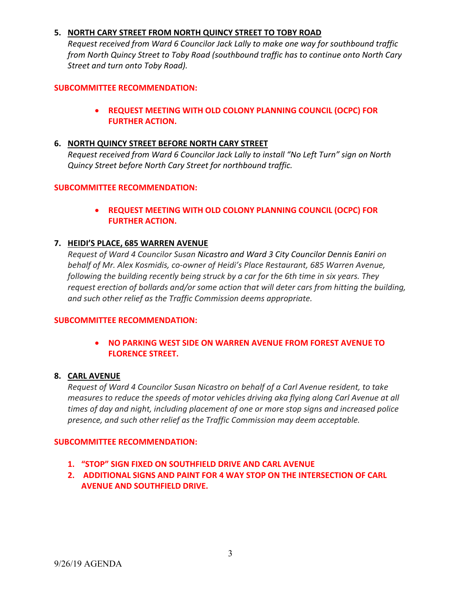# **5. NORTH CARY STREET FROM NORTH QUINCY STREET TO TOBY ROAD**

Request received from Ward 6 Councilor Jack Lally to make one way for southbound traffic from North Quincy Street to Toby Road (southbound traffic has to continue onto North Cary  *Street and turn onto Toby Road).*

### **SUBCOMMITTEE RECOMMENDATION:**

 **REQUEST MEETING WITH OLD COLONY PLANNING COUNCIL (OCPC) FOR FURTHER ACTION.**

# **6. NORTH QUINCY STREET BEFORE NORTH CARY STREET**

Request received from Ward 6 Councilor Jack Lally to install "No Left Turn" sign on North  *Quincy Street before North Cary Street for northbound traffic.*

### **SUBCOMMITTEE RECOMMENDATION:**

 **REQUEST MEETING WITH OLD COLONY PLANNING COUNCIL (OCPC) FOR FURTHER ACTION.**

## **7. HEIDI'S PLACE, 685 WARREN AVENUE**

Request of Ward 4 Councilor Susan Nicastro and Ward 3 City Councilor Dennis Eaniri on  *behalf of Mr. Alex Kosmidis, co‐owner of Heidi's Place Restaurant, 685 Warren Avenue,* following the building recently being struck by a car for the 6th time in six years. They request erection of bollards and/or some action that will deter cars from hitting the building,  *and such other relief as the Traffic Commission deems appropriate.*

### **SUBCOMMITTEE RECOMMENDATION:**

 **NO PARKING WEST SIDE ON WARREN AVENUE FROM FOREST AVENUE TO FLORENCE STREET.**

### **8. CARL AVENUE**

Request of Ward 4 Councilor Susan Nicastro on behalf of a Carl Avenue resident, to take measures to reduce the speeds of motor vehicles driving aka flying along Carl Avenue at all times of day and night, including placement of one or more stop signs and increased police  *presence, and such other relief as the Traffic Commission may deem acceptable.*

### **SUBCOMMITTEE RECOMMENDATION:**

- **1. "STOP" SIGN FIXED ON SOUTHFIELD DRIVE AND CARL AVENUE**
- **2. ADDITIONAL SIGNS AND PAINT FOR 4 WAY STOP ON THE INTERSECTION OF CARL AVENUE AND SOUTHFIELD DRIVE.**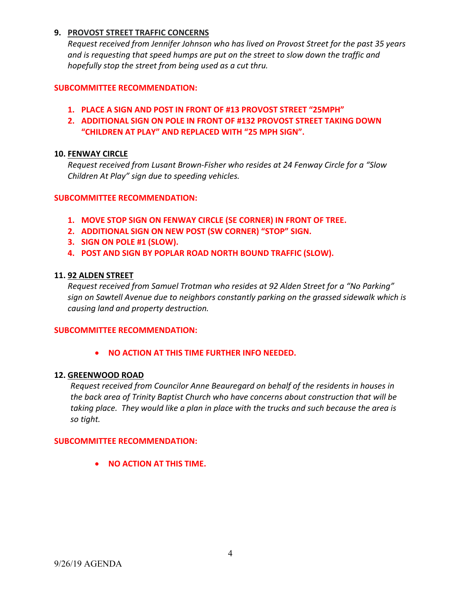# **9. PROVOST STREET TRAFFIC CONCERNS**

Request received from Jennifer Johnson who has lived on Provost Street for the past 35 years and is requesting that speed humps are put on the street to slow down the traffic and  *hopefully stop the street from being used as a cut thru.*

#### **SUBCOMMITTEE RECOMMENDATION:**

- **1. PLACE A SIGN AND POST IN FRONT OF #13 PROVOST STREET "25MPH"**
- **2. ADDITIONAL SIGN ON POLE IN FRONT OF #132 PROVOST STREET TAKING DOWN "CHILDREN AT PLAY" AND REPLACED WITH "25 MPH SIGN".**

#### **10. FENWAY CIRCLE**

Request received from Lusant Brown-Fisher who resides at 24 Fenway Circle for a "Slow  *Children At Play" sign due to speeding vehicles.*

#### **SUBCOMMITTEE RECOMMENDATION:**

- **1. MOVE STOP SIGN ON FENWAY CIRCLE (SE CORNER) IN FRONT OF TREE.**
- **2. ADDITIONAL SIGN ON NEW POST (SW CORNER) "STOP" SIGN.**
- **3. SIGN ON POLE #1 (SLOW).**
- **4. POST AND SIGN BY POPLAR ROAD NORTH BOUND TRAFFIC (SLOW).**

### **11. 92 ALDEN STREET**

Request received from Samuel Trotman who resides at 92 Alden Street for a "No Parking" sign on Sawtell Avenue due to neighbors constantly parking on the grassed sidewalk which is  *causing land and property destruction.*

#### **SUBCOMMITTEE RECOMMENDATION:**

 **NO ACTION AT THIS TIME FURTHER INFO NEEDED.**

#### **12. GREENWOOD ROAD**

 *Request received from Councilor Anne Beauregard on behalf of the residents in houses in* the back area of Trinity Baptist Church who have concerns about construction that will be taking place. They would like a plan in place with the trucks and such because the area is *so tight.*

#### **SUBCOMMITTEE RECOMMENDATION:**

 **NO ACTION AT THIS TIME.**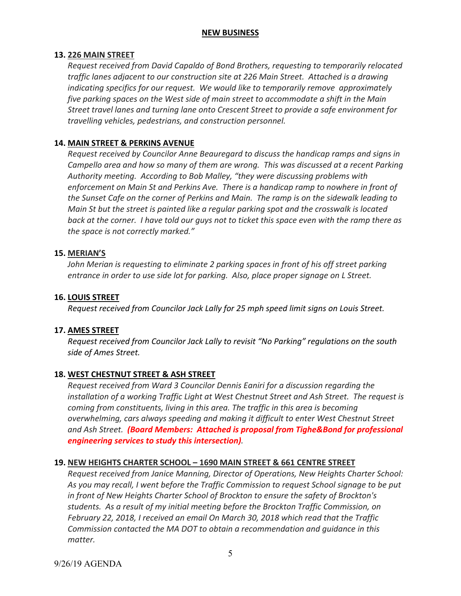### **NEW BUSINESS**

### **13. 226 MAIN STREET**

 *Request received from David Capaldo of Bond Brothers, requesting to temporarily relocated* traffic lanes adjacent to our construction site at 226 Main Street. Attached is a drawing  *indicating specifics for our request. We would like to temporarily remove approximately* five parking spaces on the West side of main street to accommodate a shift in the Main Street travel lanes and turning lane onto Crescent Street to provide a safe environment for  *travelling vehicles, pedestrians, and construction personnel.*

# **14. MAIN STREET & PERKINS AVENUE**

 *Request received by Councilor Anne Beauregard to discuss the handicap ramps and signs in* Campello area and how so many of them are wrong. This was discussed at a recent Parking  *Authority meeting. According to Bob Malley, "they were discussing problems with* enforcement on Main St and Perkins Ave. There is a handicap ramp to nowhere in front of the Sunset Cafe on the corner of Perkins and Main. The ramp is on the sidewalk leading to Main St but the street is painted like a regular parking spot and the crosswalk is located back at the corner. I have told our guys not to ticket this space even with the ramp there as  *the space is not correctly marked."*

#### **15. MERIAN'S**

John Merian is requesting to eliminate 2 parking spaces in front of his off street parking entrance in order to use side lot for parking. Also, place proper signage on L Street.

#### **16. LOUIS STREET**

Request received from Councilor Jack Lally for 25 mph speed limit signs on Louis Street.

### **17. AMES STREET**

 *Request received from Councilor Jack Lally to revisit "No Parking" regulations on the south side of Ames Street.*

### **18. WEST CHESTNUT STREET & ASH STREET**

 *Request received from Ward 3 Councilor Dennis Eaniri for a discussion regarding the* installation of a working Traffic Light at West Chestnut Street and Ash Street. The request is  *coming from constituents, living in this area. The traffic in this area is becoming overwhelming, cars always speeding and making it difficult to enter West Chestnut Street* and Ash Street. (Board Members: Attached is proposal from Tighe&Bond for professional  *engineering services to study this intersection).*

### **19. NEW HEIGHTS CHARTER SCHOOL – 1690 MAIN STREET & 661 CENTRE STREET**

 *Request received from Janice Manning, Director of Operations, New Heights Charter School:* As you may recall, I went before the Traffic Commission to request School signage to be put in front of New Heights Charter School of Brockton to ensure the safety of Brockton's students. As a result of my initial meeting before the Brockton Traffic Commission, on February 22, 2018, I received an email On March 30, 2018 which read that the Traffic  *Commission contacted the MA DOT to obtain a recommendation and guidance in this matter.*